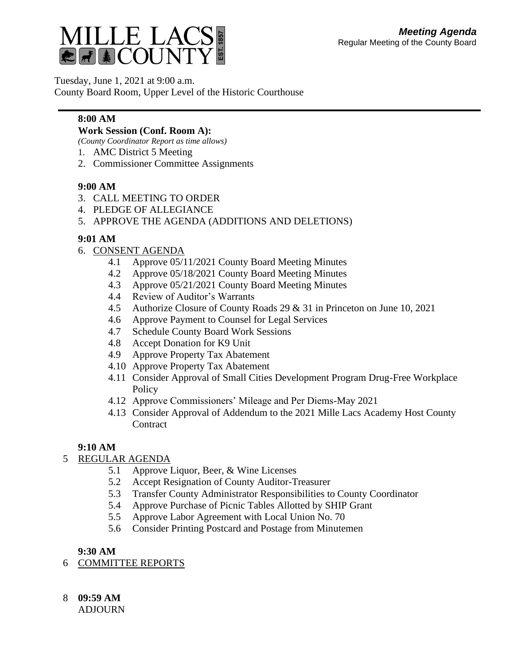

Tuesday, June 1, 2021 at 9:00 a.m.

County Board Room, Upper Level of the Historic Courthouse

### **8:00 AM**

#### **Work Session (Conf. Room A):**

*(County Coordinator Report as time allows)*

- 1. AMC District 5 Meeting
- 2. Commissioner Committee Assignments

### **9:00 AM**

- 3. CALL MEETING TO ORDER
- 4. PLEDGE OF ALLEGIANCE
- 5. APPROVE THE AGENDA (ADDITIONS AND DELETIONS)

### **9:01 AM**

- 6. CONSENT AGENDA
	- 4.1 Approve 05/11/2021 County Board Meeting Minutes
	- 4.2 Approve 05/18/2021 County Board Meeting Minutes
	- 4.3 Approve 05/21/2021 County Board Meeting Minutes
	- 4.4 Review of Auditor's Warrants
	- 4.5 Authorize Closure of County Roads 29 & 31 in Princeton on June 10, 2021
	- 4.6 Approve Payment to Counsel for Legal Services
	- 4.7 Schedule County Board Work Sessions
	- 4.8 Accept Donation for K9 Unit
	- 4.9 Approve Property Tax Abatement
	- 4.10 Approve Property Tax Abatement
	- 4.11 Consider Approval of Small Cities Development Program Drug-Free Workplace **Policy**
	- 4.12 Approve Commissioners' Mileage and Per Diems-May 2021
	- 4.13 Consider Approval of Addendum to the 2021 Mille Lacs Academy Host County **Contract**

# **9:10 AM**

# 5 REGULAR AGENDA

- 5.1 Approve Liquor, Beer, & Wine Licenses
- 5.2 Accept Resignation of County Auditor-Treasurer
- 5.3 Transfer County Administrator Responsibilities to County Coordinator
- 5.4 Approve Purchase of Picnic Tables Allotted by SHIP Grant
- 5.5 Approve Labor Agreement with Local Union No. 70
- 5.6 Consider Printing Postcard and Postage from Minutemen

# **9:30 AM**

- 6 COMMITTEE REPORTS
- 8 **09:59 AM**

ADJOURN